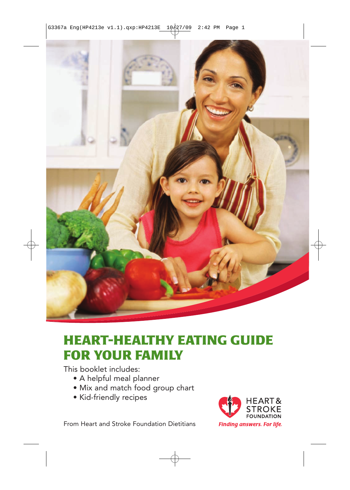

## **HEART-HEALTHY EATING GUIDE FOR YOUR FAMILY**

This booklet includes:

- A helpful meal planner
- Mix and match food group chart
- Kid-friendly recipes



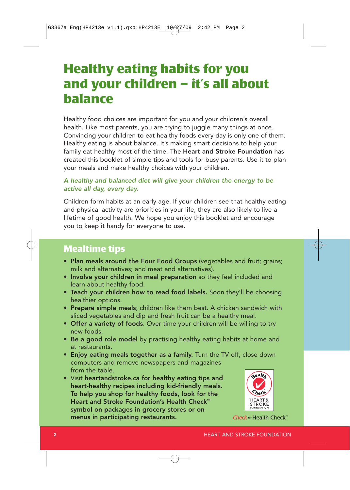## **Healthy eating habits for you and your children – it's all about balance**

Healthy food choices are important for you and your children's overall health. Like most parents, you are trying to juggle many things at once. Convincing your children to eat healthy foods every day is only one of them. Healthy eating is about balance. It's making smart decisions to help your family eat healthy most of the time. The Heart and Stroke Foundation has created this booklet of simple tips and tools for busy parents. Use it to plan your meals and make healthy choices with your children.

### A healthy and balanced diet will give your children the energy to be active all day, every day.

Children form habits at an early age. If your children see that healthy eating and physical activity are priorities in your life, they are also likely to live a lifetime of good health. We hope you enjoy this booklet and encourage you to keep it handy for everyone to use.

## **Mealtime tips**

- Plan meals around the Four Food Groups (vegetables and fruit; grains; milk and alternatives; and meat and alternatives).
- Involve your children in meal preparation so they feel included and learn about healthy food.
- Teach your children how to read food labels. Soon they'll be choosing healthier options.
- Prepare simple meals; children like them best. A chicken sandwich with sliced vegetables and dip and fresh fruit can be a healthy meal.
- Offer a variety of foods. Over time your children will be willing to try new foods.
- Be a good role model by practising healthy eating habits at home and at restaurants.
- Enjoy eating meals together as a family. Turn the TV off, close down computers and remove newspapers and magazines from the table.
- Visit heartandstroke.ca for healthy eating tips and heart-healthy recipes including kid-friendly meals. To help you shop for healthy foods, look for the Heart and Stroke Foundation's Health Check™ symbol on packages in grocery stores or on menus in participating restaurants.



Check for Health Check<sup>™</sup>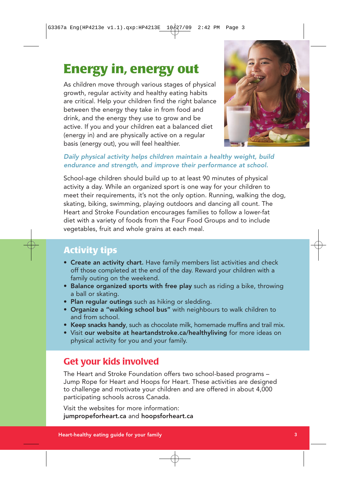# **Energy in, energy out**

As children move through various stages of physical growth, regular activity and healthy eating habits are critical. Help your children find the right balance between the energy they take in from food and drink, and the energy they use to grow and be active. If you and your children eat a balanced diet (energy in) and are physically active on a regular basis (energy out), you will feel healthier.



### Daily physical activity helps children maintain a healthy weight, build endurance and strength, and improve their performance at school.

School-age children should build up to at least 90 minutes of physical activity a day. While an organized sport is one way for your children to meet their requirements, it's not the only option. Running, walking the dog, skating, biking, swimming, playing outdoors and dancing all count. The Heart and Stroke Foundation encourages families to follow a lower-fat diet with a variety of foods from the Four Food Groups and to include vegetables, fruit and whole grains at each meal.

## **Activity tips**

- Create an activity chart. Have family members list activities and check off those completed at the end of the day. Reward your children with a family outing on the weekend.
- Balance organized sports with free play such as riding a bike, throwing a ball or skating.
- Plan regular outings such as hiking or sledding.
- Organize a "walking school bus" with neighbours to walk children to and from school.
- Keep snacks handy, such as chocolate milk, homemade muffins and trail mix.
- Visit our website at heartandstroke.ca/healthyliving for more ideas on physical activity for you and your family.

## **Get your kids involved**

The Heart and Stroke Foundation offers two school-based programs – Jump Rope for Heart and Hoops for Heart. These activities are designed to challenge and motivate your children and are offered in about 4,000 participating schools across Canada.

Visit the websites for more information: jumpropeforheart.ca and hoopsforheart.ca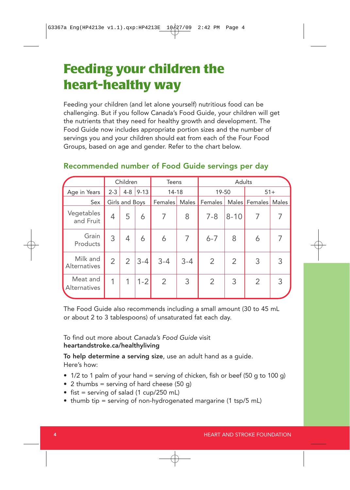## **Feeding your children the heart-healthy way**

Feeding your children (and let alone yourself) nutritious food can be challenging. But if you follow Canada's Food Guide, your children will get the nutrients that they need for healthy growth and development. The Food Guide now includes appropriate portion sizes and the number of servings you and your children should eat from each of the Four Food Groups, based on age and gender. Refer to the chart below.

### Recommended number of Food Guide servings per day

|                                 | Children       |                | <b>Teens</b> |                | Adults       |         |          |                |       |
|---------------------------------|----------------|----------------|--------------|----------------|--------------|---------|----------|----------------|-------|
| Age in Years                    | $2 - 3$        | $4 - 8$        | $9 - 13$     | 14-18          |              | 19-50   |          | $51+$          |       |
| Sex                             |                | Girls and Boys |              | <b>Females</b> | <b>Males</b> | Females |          | Males Females  | Males |
| Vegetables<br>and Fruit         | 4              | 5              | 6            | 7              | 8            | $7 - 8$ | $8 - 10$ | 7              |       |
| Grain<br>Products               | 3              | 4              | 6            | 6              | 7            | $6 - 7$ | 8        | 6              |       |
| Milk and<br>Alternatives        | $\overline{2}$ | 2              | $3 - 4$      | $3 - 4$        | $3 - 4$      | 2       | 2        | 3              | 3     |
| Meat and<br><b>Alternatives</b> | 1              | 1              | $1 - 2$      | $\overline{2}$ | 3            | 2       | 3        | $\overline{2}$ | 3     |

The Food Guide also recommends including a small amount (30 to 45 mL or about 2 to 3 tablespoons) of unsaturated fat each day.

To find out more about Canada's Food Guide visit heartandstroke.ca/healthyliving

To help determine a serving size, use an adult hand as a guide. Here's how:

- 1/2 to 1 palm of your hand = serving of chicken, fish or beef (50 g to 100 g)
- 2 thumbs = serving of hard cheese  $(50 q)$
- fist = serving of salad  $(1 \text{ cup}/250 \text{ mL})$
- thumb tip = serving of non-hydrogenated margarine (1 tsp/5 mL)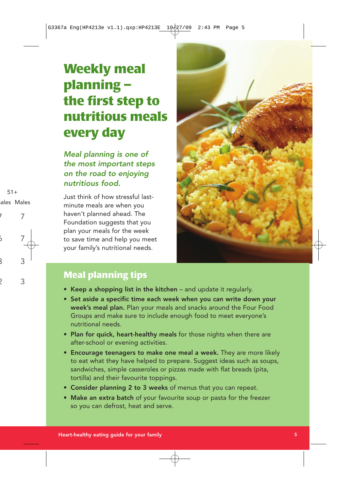# **Weekly meal planning – the first step to nutritious meals every day**

Meal planning is one of the most important steps on the road to enjoying nutritious food.

Just think of how stressful lastminute meals are when you haven't planned ahead. The Foundation suggests that you plan your meals for the week to save time and help you meet your family's nutritional needs.



## **Meal planning tips**

- Keep a shopping list in the kitchen and update it regularly.
- Set aside a specific time each week when you can write down your week's meal plan. Plan your meals and snacks around the Four Food Groups and make sure to include enough food to meet everyone's nutritional needs.
- Plan for quick, heart-healthy meals for those nights when there are after-school or evening activities.
- Encourage teenagers to make one meal a week. They are more likely to eat what they have helped to prepare. Suggest ideas such as soups, sandwiches, simple casseroles or pizzas made with flat breads (pita, tortilla) and their favourite toppings.
- Consider planning 2 to 3 weeks of menus that you can repeat.
- Make an extra batch of your favourite soup or pasta for the freezer so you can defrost, heat and serve.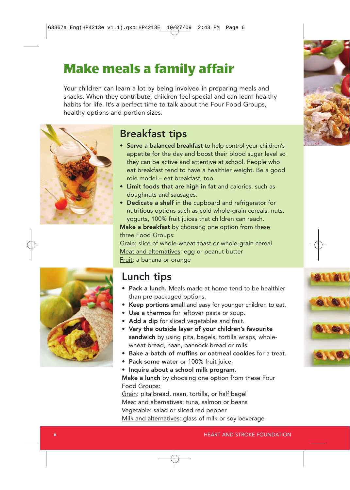# **Make meals a family affair**

Your children can learn a lot by being involved in preparing meals and snacks. When they contribute, children feel special and can learn healthy habits for life. It's a perfect time to talk about the Four Food Groups, healthy options and portion sizes.



## Breakfast tips

- Serve a balanced breakfast to help control your children's appetite for the day and boost their blood sugar level so they can be active and attentive at school. People who eat breakfast tend to have a healthier weight. Be a good role model – eat breakfast, too.
- Limit foods that are high in fat and calories, such as doughnuts and sausages.
- Dedicate a shelf in the cupboard and refrigerator for nutritious options such as cold whole-grain cereals, nuts, yogurts, 100% fruit juices that children can reach.

Make a breakfast by choosing one option from these three Food Groups:

Grain: slice of whole-wheat toast or whole-grain cereal Meat and alternatives: egg or peanut butter Fruit: a banana or orange



## Lunch tips

- Pack a lunch. Meals made at home tend to be healthier than pre-packaged options.
- Keep portions small and easy for younger children to eat.
- Use a thermos for leftover pasta or soup.
- Add a dip for sliced vegetables and fruit.
- Vary the outside layer of your children's favourite sandwich by using pita, bagels, tortilla wraps, wholewheat bread, naan, bannock bread or rolls.
- Bake a batch of muffins or oatmeal cookies for a treat.
- Pack some water or 100% fruit juice.
- Inquire about a school milk program.

Make a lunch by choosing one option from these Four Food Groups:

Grain: pita bread, naan, tortilla, or half bagel Meat and alternatives: tuna, salmon or beans Vegetable: salad or sliced red pepper Milk and alternatives: glass of milk or soy beverage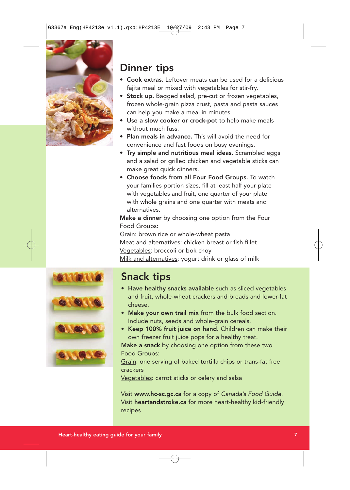

## Dinner tips

- Cook extras. Leftover meats can be used for a delicious fajita meal or mixed with vegetables for stir-fry.
- Stock up. Bagged salad, pre-cut or frozen vegetables, frozen whole-grain pizza crust, pasta and pasta sauces can help you make a meal in minutes.
- Use a slow cooker or crock-pot to help make meals without much fuss.
- Plan meals in advance. This will avoid the need for convenience and fast foods on busy evenings.
- Try simple and nutritious meal ideas. Scrambled eggs and a salad or grilled chicken and vegetable sticks can make great quick dinners.
- Choose foods from all Four Food Groups. To watch your families portion sizes, fill at least half your plate with vegetables and fruit, one quarter of your plate with whole grains and one quarter with meats and alternatives.

Make a dinner by choosing one option from the Four Food Groups:

Grain: brown rice or whole-wheat pasta Meat and alternatives: chicken breast or fish fillet Vegetables: broccoli or bok choy Milk and alternatives: yogurt drink or glass of milk



## Snack tips

- Have healthy snacks available such as sliced vegetables and fruit, whole-wheat crackers and breads and lower-fat cheese.
- Make your own trail mix from the bulk food section. Include nuts, seeds and whole-grain cereals.
- Keep 100% fruit juice on hand. Children can make their own freezer fruit juice pops for a healthy treat.

Make a snack by choosing one option from these two Food Groups:

Grain: one serving of baked tortilla chips or trans-fat free crackers

Vegetables: carrot sticks or celery and salsa

Visit www.hc-sc.gc.ca for a copy of Canada's Food Guide. Visit heartandstroke.ca for more heart-healthy kid-friendly recipes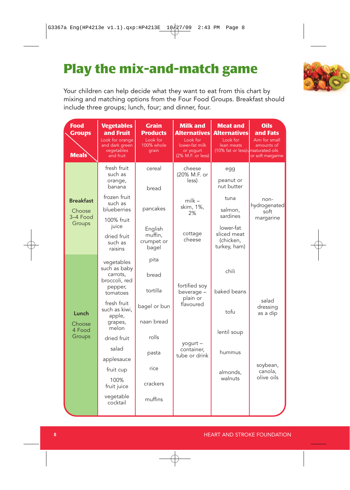# **Play the mix-and-match game**

Your children can help decide what they want to eat from this chart by mixing and matching options from the Four Food Groups. Breakfast should include three groups; lunch, four; and dinner, four.

| <b>Food</b><br><b>Groups</b><br><b>Meals</b>     | <b>Vegetables</b><br>and Fruit<br>Look for orange<br>and dark green<br>vegetables<br>and fruit | <b>Grain</b><br><b>Products</b><br>Look for<br>100% whole<br>grain | <b>Milk and</b><br><b>Alternatives</b><br>Look for<br>lower-fat milk<br>or yogurt<br>(2% M.F. or less) | <b>Meat and</b><br><b>Alternatives</b><br>Look for<br>lean meats<br>(10% fat or less) unsaturated oils | <b>Oils</b><br>and Fats<br>Aim for small<br>amounts of<br>or soft margarine |  |
|--------------------------------------------------|------------------------------------------------------------------------------------------------|--------------------------------------------------------------------|--------------------------------------------------------------------------------------------------------|--------------------------------------------------------------------------------------------------------|-----------------------------------------------------------------------------|--|
|                                                  | fresh fruit<br>such as<br>orange,<br>banana                                                    | cereal<br>bread                                                    | cheese<br>(20% M.F. or<br>less)                                                                        | egg<br>peanut or<br>nut butter                                                                         |                                                                             |  |
| <b>Breakfast</b><br>Choose<br>3-4 Food<br>Groups | frozen fruit<br>such as<br>blueberries                                                         | pancakes                                                           | $m$ ilk $-$<br>skim, 1%,<br>2%                                                                         | tuna<br>salmon,<br>sardines                                                                            | non-<br>hydrogenated<br>soft<br>margarine                                   |  |
|                                                  | 100% fruit<br>juice<br>dried fruit<br>such as<br>raisins                                       | English<br>muffin,<br>crumpet or<br>bagel                          | cottage<br>cheese                                                                                      | lower-fat<br>sliced meat<br>(chicken,<br>turkey, ham)                                                  |                                                                             |  |
|                                                  | vegetables<br>such as baby<br>carrots,<br>broccoli, red<br>pepper,<br>tomatoes                 | pita<br>bread<br>tortilla                                          | fortified soy<br>beverage -                                                                            | chili<br>baked beans                                                                                   |                                                                             |  |
| Lunch<br>Choose<br>4 Food<br>Groups              | fresh fruit<br>such as kiwi,<br>apple,<br>grapes,<br>melon                                     | bagel or bun<br>naan bread                                         | plain or<br>flavoured                                                                                  | tofu                                                                                                   | salad<br>dressing<br>as a dip                                               |  |
|                                                  | dried fruit                                                                                    | rolls                                                              |                                                                                                        | lentil soup                                                                                            |                                                                             |  |
|                                                  | salad<br>applesauce                                                                            | pasta                                                              | yogurt -<br>container,<br>tube or drink                                                                | hummus                                                                                                 |                                                                             |  |
|                                                  | fruit cup                                                                                      | rice                                                               |                                                                                                        | almonds.                                                                                               | soybean,<br>canola,                                                         |  |
|                                                  | 100%<br>fruit juice                                                                            | crackers                                                           |                                                                                                        | walnuts                                                                                                | olive oils                                                                  |  |
|                                                  | vegetable<br>cocktail                                                                          | muffins                                                            |                                                                                                        |                                                                                                        |                                                                             |  |
|                                                  |                                                                                                |                                                                    |                                                                                                        |                                                                                                        |                                                                             |  |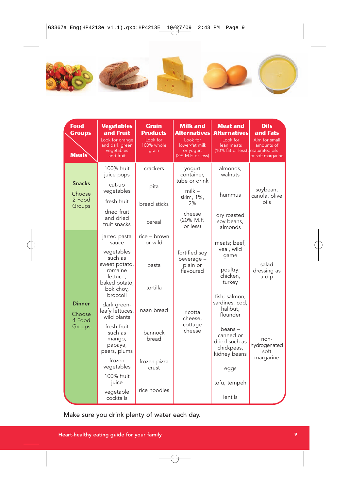

| <b>Food</b><br><b>Groups</b><br><b>Meals</b> | <b>Vegetables</b><br>and Fruit<br>Look for orange<br>and dark green<br>vegetables<br>and fruit | <b>Grain</b><br><b>Products</b><br>Look for<br>100% whole<br>grain | <b>Milk and</b><br>Alternatives<br>Look for<br>lower-fat milk<br>or yogurt<br>(2% M.F. or less) | <b>Meat and</b><br><b>Alternatives</b><br>Look for<br>lean meats<br>(10% fat or less) unsaturated oils | <b>Oils</b><br>and Fats<br>Aim for small<br>amounts of<br>or soft margarine |  |
|----------------------------------------------|------------------------------------------------------------------------------------------------|--------------------------------------------------------------------|-------------------------------------------------------------------------------------------------|--------------------------------------------------------------------------------------------------------|-----------------------------------------------------------------------------|--|
|                                              | 100% fruit<br>juice pops                                                                       | crackers                                                           | yogurt<br>container,<br>tube or drink                                                           | almonds,<br>walnuts                                                                                    | soybean,<br>canola, olive                                                   |  |
| <b>Snacks</b><br>Choose                      | cut-up<br>vegetables                                                                           | pita                                                               | $m$ ilk –<br>skim, 1%,                                                                          | hummus                                                                                                 |                                                                             |  |
| 2 Food<br>Groups                             | fresh fruit                                                                                    | bread sticks                                                       | 2%                                                                                              |                                                                                                        | oils                                                                        |  |
|                                              | dried fruit<br>and dried<br>fruit snacks                                                       | cereal                                                             | cheese<br>(20% M.F.<br>or less)                                                                 | dry roasted<br>soy beans,<br>almonds                                                                   |                                                                             |  |
|                                              | jarred pasta<br>sauce                                                                          | rice – brown<br>or wild                                            |                                                                                                 | meats; beef,                                                                                           |                                                                             |  |
| <b>Dinner</b><br>Choose<br>4 Food<br>Groups  | vegetables<br>such as<br>sweet potato,<br>romaine<br>lettuce,                                  | pasta                                                              | fortified soy<br>beverage -<br>plain or<br>flavoured                                            | veal, wild<br>qame<br>poultry;<br>chicken,                                                             | salad<br>dressing as<br>a dip                                               |  |
|                                              | baked potato,<br>bok choy,<br>broccoli                                                         | tortilla                                                           |                                                                                                 | turkey<br>fish; salmon,                                                                                |                                                                             |  |
|                                              | dark green-<br>leafy lettuces,<br>wild plants                                                  | naan bread                                                         | ricotta<br>cheese,                                                                              | sardines, cod,<br>halibut,<br>flounder                                                                 |                                                                             |  |
|                                              | fresh fruit<br>such as<br>mango,<br>papaya,<br>pears, plums                                    | bannock<br>bread                                                   | cottage<br>cheese                                                                               | beans -<br>canned or<br>dried such as<br>chickpeas,<br>kidney beans                                    | non-<br>hydrogenated<br>soft<br>margarine                                   |  |
|                                              | frozen<br>vegetables                                                                           | frozen pizza<br>crust                                              |                                                                                                 | eggs                                                                                                   |                                                                             |  |
|                                              | 100% fruit<br>juice                                                                            |                                                                    |                                                                                                 | tofu, tempeh                                                                                           |                                                                             |  |
|                                              | vegetable<br>cocktails                                                                         | rice noodles                                                       |                                                                                                 | lentils                                                                                                |                                                                             |  |

Make sure you drink plenty of water each day.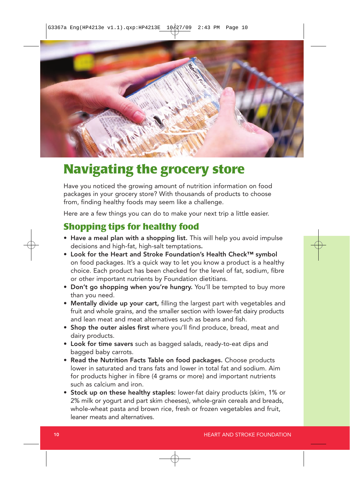

## **Navigating the grocery store**

Have you noticed the growing amount of nutrition information on food packages in your grocery store? With thousands of products to choose from, finding healthy foods may seem like a challenge.

Here are a few things you can do to make your next trip a little easier.

### **Shopping tips for healthy food**

- Have a meal plan with a shopping list. This will help you avoid impulse decisions and high-fat, high-salt temptations.
- Look for the Heart and Stroke Foundation's Health Check™ symbol on food packages. It's a quick way to let you know a product is a healthy choice. Each product has been checked for the level of fat, sodium, fibre or other important nutrients by Foundation dietitians.
- Don't go shopping when you're hungry. You'll be tempted to buy more than you need.
- Mentally divide up your cart, filling the largest part with vegetables and fruit and whole grains, and the smaller section with lower-fat dairy products and lean meat and meat alternatives such as beans and fish.
- Shop the outer aisles first where you'll find produce, bread, meat and dairy products.
- Look for time savers such as bagged salads, ready-to-eat dips and bagged baby carrots.
- Read the Nutrition Facts Table on food packages. Choose products lower in saturated and trans fats and lower in total fat and sodium. Aim for products higher in fibre (4 grams or more) and important nutrients such as calcium and iron.
- Stock up on these healthy staples: lower-fat dairy products (skim, 1% or 2% milk or yogurt and part skim cheeses), whole-grain cereals and breads, whole-wheat pasta and brown rice, fresh or frozen vegetables and fruit, leaner meats and alternatives.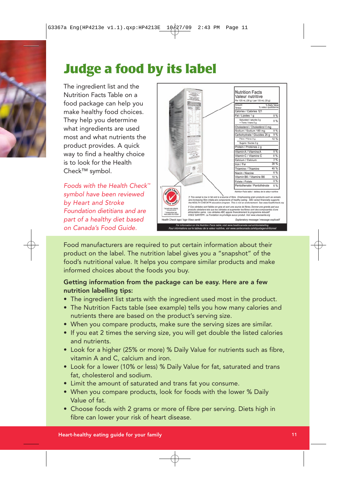# **Judge a food by its label**

The ingredient list and the Nutrition Facts Table on a food package can help you make healthy food choices. They help you determine what ingredients are used most and what nutrients the product provides. A quick way to find a healthy choice is to look for the Health Check™ symbol.

Foods with the Health Check™ symbol have been reviewed by Heart and Stroke Foundation dietitians and are part of a healthy diet based on Canada's Food Guide.



Food manufacturers are required to put certain information about their product on the label. The nutrition label gives you a "snapshot" of the food's nutritional value. It helps you compare similar products and make informed choices about the foods you buy.

### Getting information from the package can be easy. Here are a few nutrition labelling tips:

- The ingredient list starts with the ingredient used most in the product.
- The Nutrition Facts table (see example) tells you how many calories and nutrients there are based on the product's serving size.
- When you compare products, make sure the serving sizes are similar.
- If you eat 2 times the serving size, you will get double the listed calories and nutrients.
- Look for a higher (25% or more) % Daily Value for nutrients such as fibre, vitamin A and C, calcium and iron.
- Look for a lower (10% or less) % Daily Value for fat, saturated and trans fat, cholesterol and sodium.
- Limit the amount of saturated and trans fat you consume.
- When you compare products, look for foods with the lower % Daily Value of fat.
- Choose foods with 2 grams or more of fibre per serving. Diets high in fibre can lower your risk of heart disease.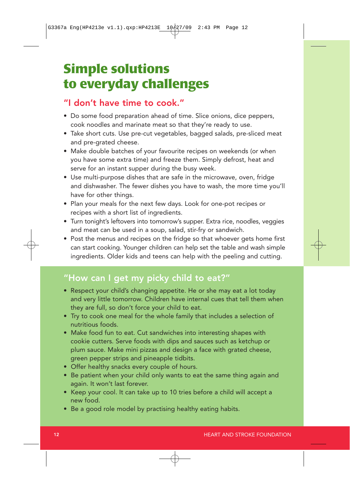## **Simple solutions to everyday challenges**

### "I don't have time to cook."

- Do some food preparation ahead of time. Slice onions, dice peppers, cook noodles and marinate meat so that they're ready to use.
- Take short cuts. Use pre-cut vegetables, bagged salads, pre-sliced meat and pre-grated cheese.
- Make double batches of your favourite recipes on weekends (or when you have some extra time) and freeze them. Simply defrost, heat and serve for an instant supper during the busy week.
- Use multi-purpose dishes that are safe in the microwave, oven, fridge and dishwasher. The fewer dishes you have to wash, the more time you'll have for other things.
- Plan your meals for the next few days. Look for one-pot recipes or recipes with a short list of ingredients.
- Turn tonight's leftovers into tomorrow's supper. Extra rice, noodles, veggies and meat can be used in a soup, salad, stir-fry or sandwich.
- Post the menus and recipes on the fridge so that whoever gets home first can start cooking. Younger children can help set the table and wash simple ingredients. Older kids and teens can help with the peeling and cutting.

## "How can I get my picky child to eat?"

- Respect your child's changing appetite. He or she may eat a lot today and very little tomorrow. Children have internal cues that tell them when they are full, so don't force your child to eat.
- Try to cook one meal for the whole family that includes a selection of nutritious foods.
- Make food fun to eat. Cut sandwiches into interesting shapes with cookie cutters. Serve foods with dips and sauces such as ketchup or plum sauce. Make mini pizzas and design a face with grated cheese, green pepper strips and pineapple tidbits.
- Offer healthy snacks every couple of hours.
- Be patient when your child only wants to eat the same thing again and again. It won't last forever.
- Keep your cool. It can take up to 10 tries before a child will accept a new food.
- Be a good role model by practising healthy eating habits.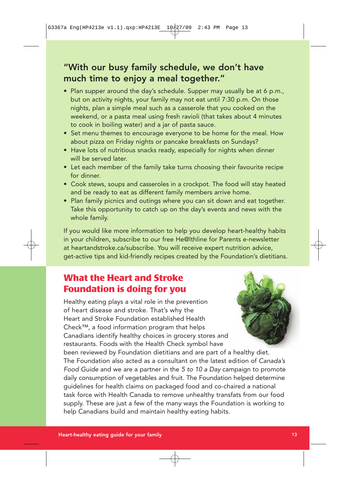### "With our busy family schedule, we don't have much time to enjoy a meal together."

- Plan supper around the day's schedule. Supper may usually be at 6 p.m., but on activity nights, your family may not eat until 7:30 p.m. On those nights, plan a simple meal such as a casserole that you cooked on the weekend, or a pasta meal using fresh ravioli (that takes about 4 minutes to cook in boiling water) and a jar of pasta sauce.
- Set menu themes to encourage everyone to be home for the meal. How about pizza on Friday nights or pancake breakfasts on Sundays?
- Have lots of nutritious snacks ready, especially for nights when dinner will be served later.
- Let each member of the family take turns choosing their favourite recipe for dinner.
- Cook stews, soups and casseroles in a crockpot. The food will stay heated and be ready to eat as different family members arrive home.
- Plan family picnics and outings where you can sit down and eat together. Take this opportunity to catch up on the day's events and news with the whole family.

If you would like more information to help you develop heart-healthy habits in your children, subscribe to our free He@lthline for Parents e-newsletter at heartandstroke.ca/subscribe. You will receive expert nutrition advice, get-active tips and kid-friendly recipes created by the Foundation's dietitians.

### **What the Heart and Stroke Foundation is doing for you**

Healthy eating plays a vital role in the prevention of heart disease and stroke. That's why the Heart and Stroke Foundation established Health Check™, a food information program that helps Canadians identify healthy choices in grocery stores and restaurants. Foods with the Health Check symbol have



been reviewed by Foundation dietitians and are part of a healthy diet. The Foundation also acted as a consultant on the latest edition of Canada's Food Guide and we are a partner in the 5 to 10 a Day campaign to promote daily consumption of vegetables and fruit. The Foundation helped determine guidelines for health claims on packaged food and co-chaired a national task force with Health Canada to remove unhealthy transfats from our food supply. These are just a few of the many ways the Foundation is working to help Canadians build and maintain healthy eating habits.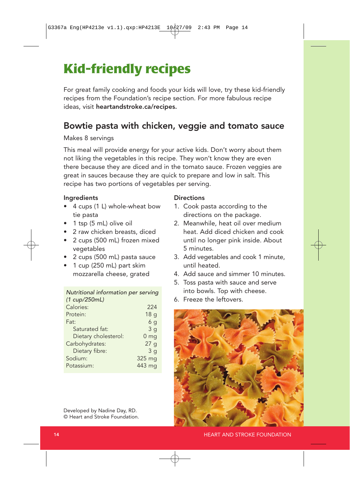# **Kid-friendly recipes**

For great family cooking and foods your kids will love, try these kid-friendly recipes from the Foundation's recipe section. For more fabulous recipe ideas, visit heartandstroke.ca/recipes.

### Bowtie pasta with chicken, veggie and tomato sauce

#### Makes 8 servings

This meal will provide energy for your active kids. Don't worry about them not liking the vegetables in this recipe. They won't know they are even there because they are diced and in the tomato sauce. Frozen veggies are great in sauces because they are quick to prepare and low in salt. This recipe has two portions of vegetables per serving.

#### Ingredients

- 4 cups (1 L) whole-wheat bow tie pasta
- 1 tsp (5 mL) olive oil
- 2 raw chicken breasts, diced
- 2 cups (500 mL) frozen mixed vegetables
- 2 cups (500 mL) pasta sauce
- 1 cup (250 mL) part skim mozzarella cheese, grated

#### Nutritional information per serving  $(1 - \dots / 250mL)$

| (T Cup/Z3UIIL)       |                 |
|----------------------|-----------------|
| Calories:            | 224             |
| Protein:             | 18 <sub>q</sub> |
| Fat:                 | 6 <sub>q</sub>  |
| Saturated fat:       | 3q              |
| Dietary cholesterol: | 0 <sub>mg</sub> |
| Carbohydrates:       | 27g             |
| Dietary fibre:       | 3 <sub>q</sub>  |
| Sodium:              | 325 mg          |
| Potassium:           | 443 mg          |
|                      |                 |

Developed by Nadine Day, RD. © Heart and Stroke Foundation.

#### **Directions**

- 1. Cook pasta according to the directions on the package.
- 2. Meanwhile, heat oil over medium heat. Add diced chicken and cook until no longer pink inside. About 5 minutes.
- 3. Add vegetables and cook 1 minute, until heated.
- 4. Add sauce and simmer 10 minutes.
- 5. Toss pasta with sauce and serve into bowls. Top with cheese.
- 6. Freeze the leftovers.

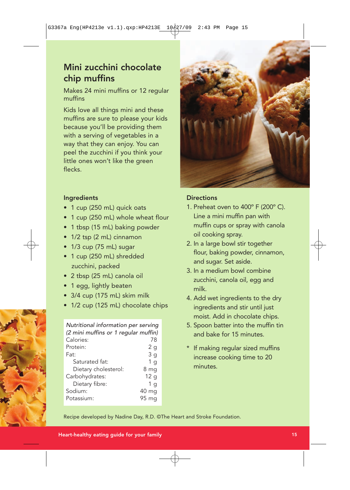### Mini zucchini chocolate chip muffins

Makes 24 mini muffins or 12 regular muffins

Kids love all things mini and these muffins are sure to please your kids because you'll be providing them with a serving of vegetables in a way that they can enjoy. You can peel the zucchini if you think your little ones won't like the green flecks.



#### Ingredients

- 1 cup (250 mL) quick oats
- 1 cup (250 mL) whole wheat flour
- 1 tbsp (15 mL) baking powder
- 1/2 tsp (2 mL) cinnamon
- 1/3 cup (75 mL) sugar
- 1 cup (250 mL) shredded zucchini, packed
- 2 tbsp (25 mL) canola oil
- 1 egg, lightly beaten
- 3/4 cup (175 mL) skim milk
- 1/2 cup (125 mL) chocolate chips

| Nutritional information per serving<br>(2 mini muffins or 1 regular muffin) |                |
|-----------------------------------------------------------------------------|----------------|
|                                                                             |                |
| Calories:                                                                   | 78             |
| Protein:                                                                    | 2 <sub>q</sub> |
| Fat:                                                                        | 3q             |
| Saturated fat:                                                              | 1 q            |
| Dietary cholesterol:                                                        | 8 mg           |
| Carbohydrates:                                                              | 12q            |
| Dietary fibre:                                                              | 1 a            |
| Sodium:                                                                     | 40 mg          |
| Potassium:                                                                  | 95 mg          |

### **Directions**

- 1. Preheat oven to 400º F (200º C). Line a mini muffin pan with muffin cups or spray with canola oil cooking spray.
- 2. In a large bowl stir together flour, baking powder, cinnamon, and sugar. Set aside.
- 3. In a medium bowl combine zucchini, canola oil, egg and milk.
- 4. Add wet ingredients to the dry ingredients and stir until just moist. Add in chocolate chips.
- 5. Spoon batter into the muffin tin and bake for 15 minutes.
- \* If making regular sized muffins increase cooking time to 20 minutes.

Recipe developed by Nadine Day, R.D. ©The Heart and Stroke Foundation.